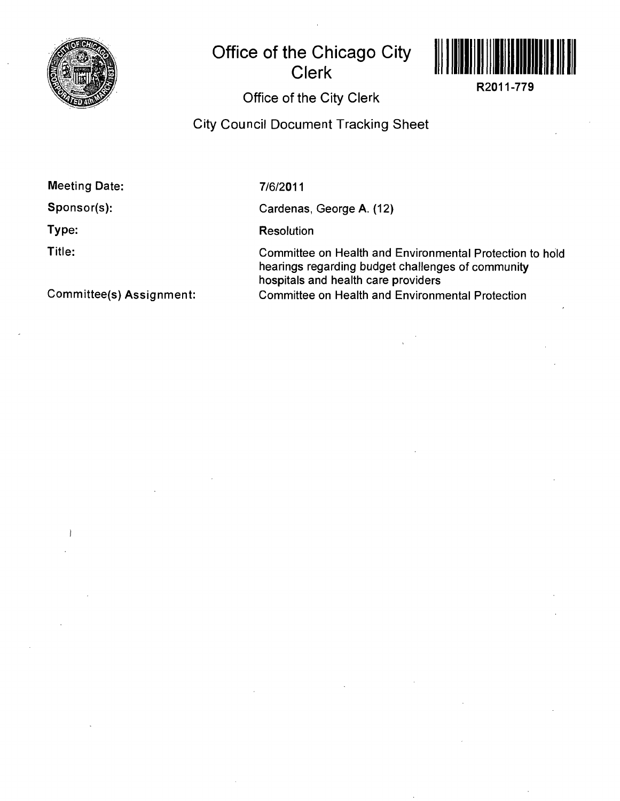

## **Office of the Chicago City Clerk**



**R2011-779** 

## Office of the City Clerk

City Council Document Tracking Sheet

**Meeting Date:** 

**Sponsor(s):** 

**Type:** 

**Title:** 

7/6/2011

Cardenas, George A. (12)

**Resolution** 

Committee on Health and Environmental Protection to hold hearings regarding budget challenges of community hospitals and health care providers Committee on Health and Environmental Protection

**Committee(s) Assignment:**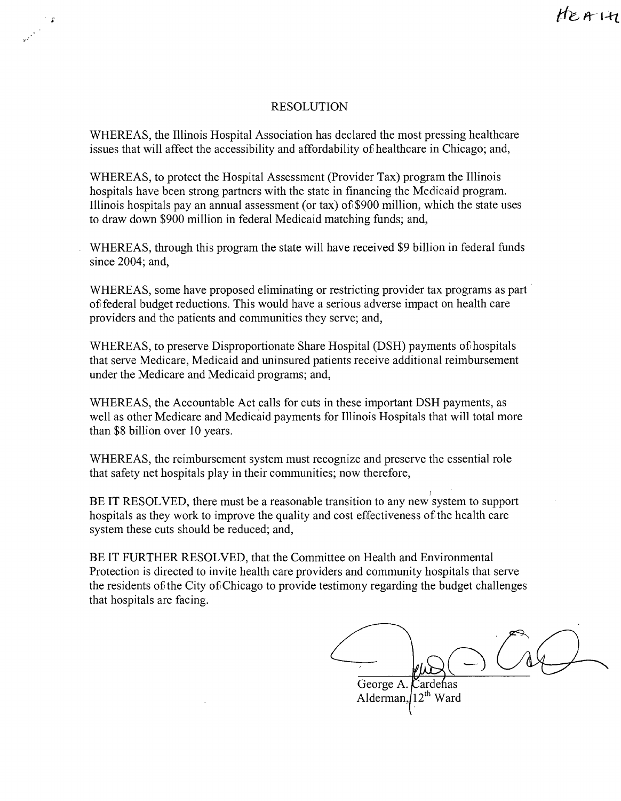## RESOLUTION

WHEREAS, the Illinois Hospital Association has declared the most pressing healthcare issues that will affect the accessibility and affordability of healthcare in Chicago; and,

WHEREAS, to protect the Hospital Assessment (Provider Tax) program the Illinois hospitals have been strong partners with the state in financing the Medicaid program. Illinois hospitals pay an annual assessment (or tax) of \$900 million, which the state uses to draw down \$900 million in federal Medicaid matching funds; and,

WHEREAS, through this program the state will have received \$9 billion in federal funds since 2004; and,

WHEREAS, some have proposed eliminating or restricting provider tax programs as part of federal budget reductions. This would have a serious adverse impact on health care providers and the patients and communities they serve; and,

WHEREAS, to preserve Disproportionate Share Hospital (DSH) payments of hospitals that serve Medicare, Medicaid and uninsured patients receive additional reimbursement under the Medicare and Medicaid programs; and,

WHEREAS, the Accountable Act calls for cuts in these important DSH payments, as well as other Medicare and Medicaid payments for Illinois Hospitals that will total more than \$8 billion over 10 years.

WHEREAS, the reimbursement system must recognize and preserve the essential role that safety net hospitals play in their communities; now therefore,

BE IT RESOLVED, there must be a reasonable transition to any new system to support hospitals as they work to improve the quality and cost effectiveness of the health care system these cuts should be reduced; and,

BE IT FURTHER RESOLVED, that the Committee on Health and Environmental Protection is directed to invite health care providers and community hospitals that serve the residents of the City of Chicago to provide testimony regarding the budget challenges that hospitals are facing.

George A. Cardenas Alderman,